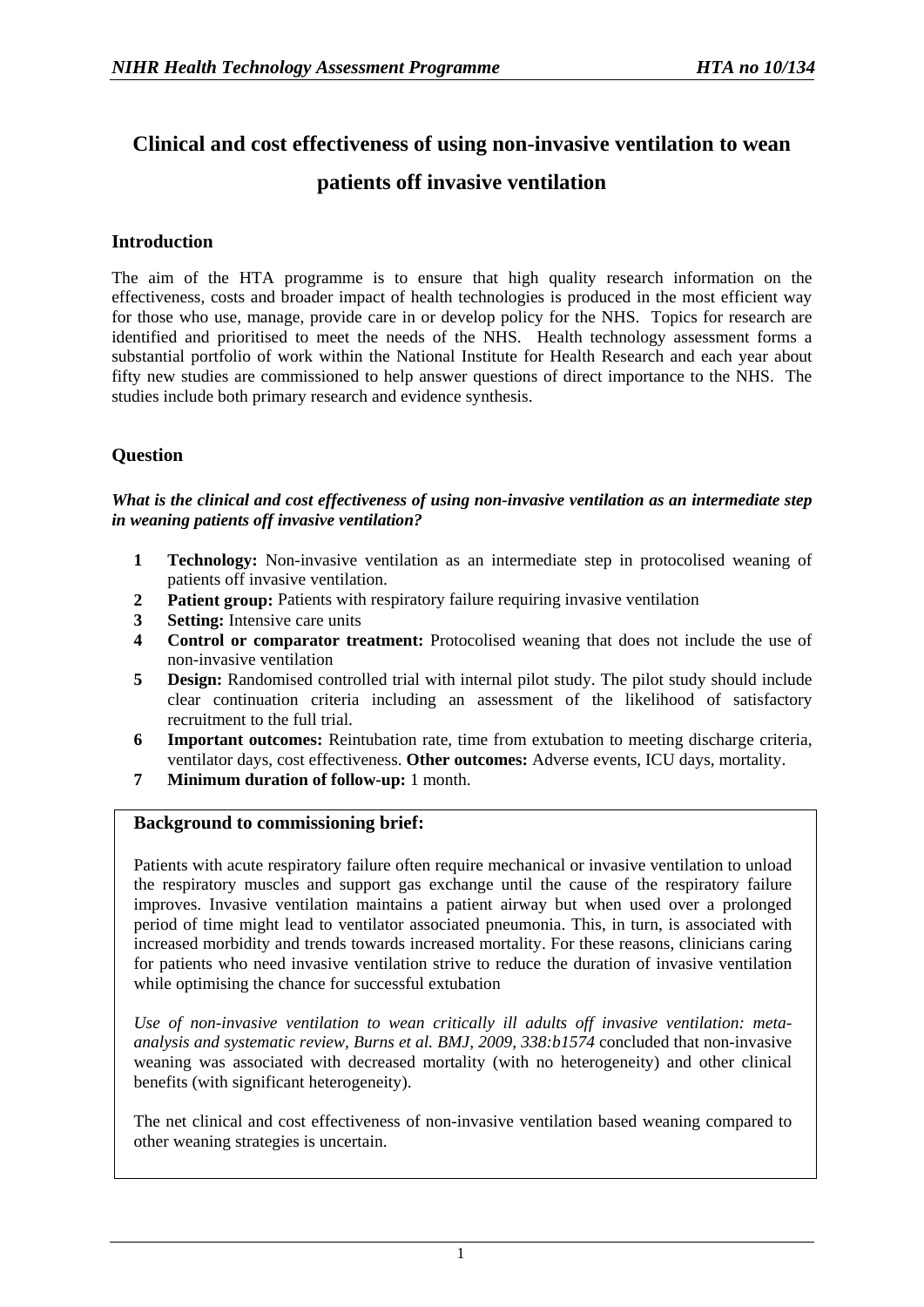# **Clinical and cost effectiveness of using non-invasive ventilation to wean**

## **patients off invasive ventilation**

## **Introduction**

The aim of the HTA programme is to ensure that high quality research information on the effectiveness, costs and broader impact of health technologies is produced in the most efficient way for those who use, manage, provide care in or develop policy for the NHS. Topics for research are identified and prioritised to meet the needs of the NHS. Health technology assessment forms a substantial portfolio of work within the National Institute for Health Research and each year about fifty new studies are commissioned to help answer questions of direct importance to the NHS. The studies include both primary research and evidence synthesis.

## **Question**

*What is the clinical and cost effectiveness of using non-invasive ventilation as an intermediate step in weaning patients off invasive ventilation?* 

- **1 Technology:** Non-invasive ventilation as an intermediate step in protocolised weaning of patients off invasive ventilation.
- **2 Patient group:** Patients with respiratory failure requiring invasive ventilation
- **3 Setting:** Intensive care units
- **4 Control or comparator treatment:** Protocolised weaning that does not include the use of non-invasive ventilation
- **5 Design:** Randomised controlled trial with internal pilot study. The pilot study should include clear continuation criteria including an assessment of the likelihood of satisfactory recruitment to the full trial.
- **6 Important outcomes:** Reintubation rate, time from extubation to meeting discharge criteria, ventilator days, cost effectiveness. **Other outcomes:** Adverse events, ICU days, mortality.
- **7 Minimum duration of follow-up:** 1 month.

### **Background to commissioning brief:**

Patients with acute respiratory failure often require mechanical or invasive ventilation to unload the respiratory muscles and support gas exchange until the cause of the respiratory failure improves. Invasive ventilation maintains a patient airway but when used over a prolonged period of time might lead to ventilator associated pneumonia. This, in turn, is associated with increased morbidity and trends towards increased mortality. For these reasons, clinicians caring for patients who need invasive ventilation strive to reduce the duration of invasive ventilation while optimising the chance for successful extubation

*Use of non-invasive ventilation to wean critically ill adults off invasive ventilation: metaanalysis and systematic review, Burns et al. BMJ, 2009, 338:b1574* concluded that non-invasive weaning was associated with decreased mortality (with no heterogeneity) and other clinical benefits (with significant heterogeneity).

The net clinical and cost effectiveness of non-invasive ventilation based weaning compared to other weaning strategies is uncertain.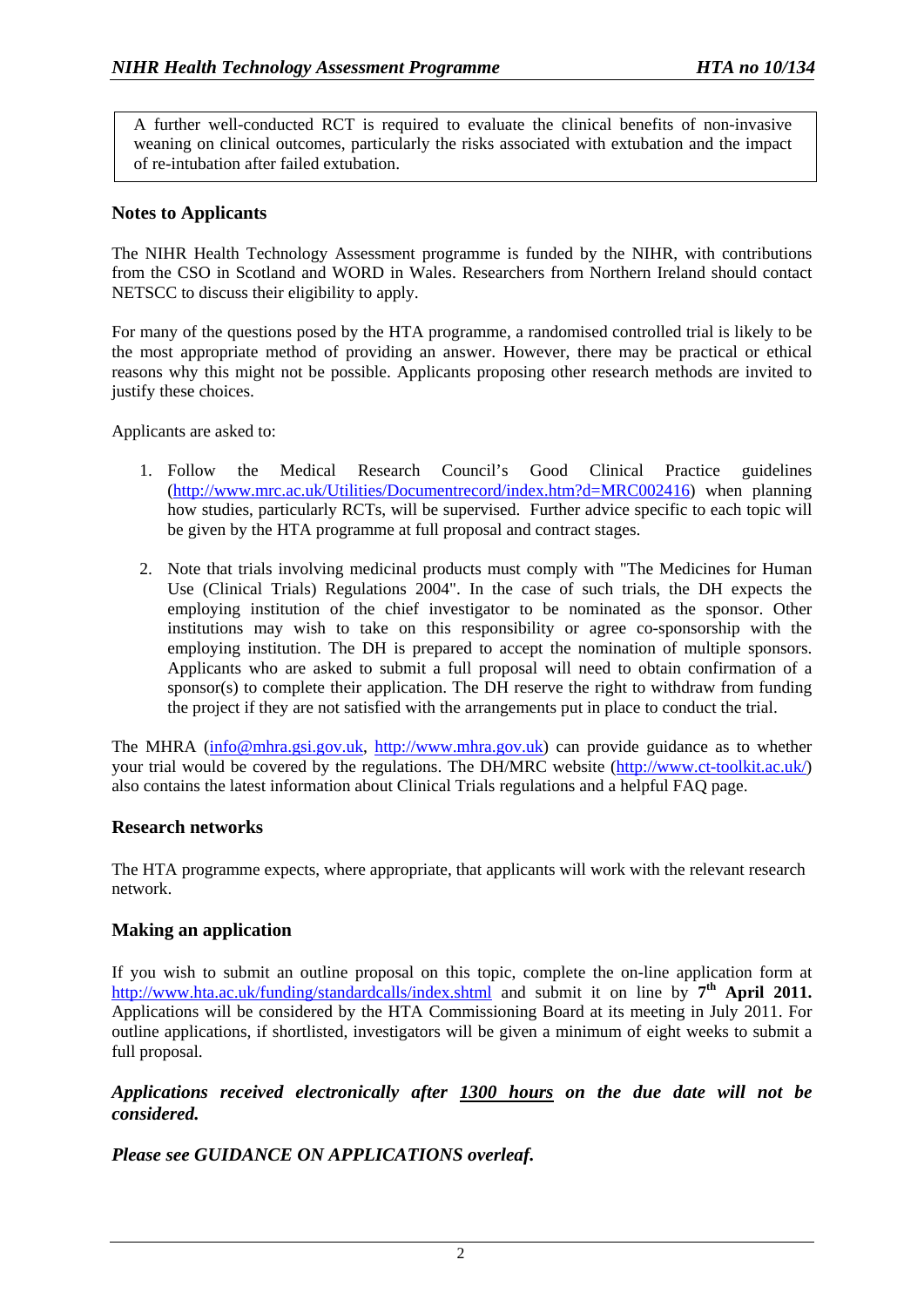A further well-conducted RCT is required to evaluate the clinical benefits of non-invasive weaning on clinical outcomes, particularly the risks associated with extubation and the impact of re-intubation after failed extubation.

## **Notes to Applicants**

The NIHR Health Technology Assessment programme is funded by the NIHR, with contributions from the CSO in Scotland and WORD in Wales. Researchers from Northern Ireland should contact NETSCC to discuss their eligibility to apply.

For many of the questions posed by the HTA programme, a randomised controlled trial is likely to be the most appropriate method of providing an answer. However, there may be practical or ethical reasons why this might not be possible. Applicants proposing other research methods are invited to justify these choices.

Applicants are asked to:

- 1. Follow the Medical Research Council's Good Clinical Practice guidelines ([http://www.mrc.ac.uk/Utilities/Documentrecord/index.htm?d=MRC002416\)](http://www.mrc.ac.uk/Utilities/Documentrecord/index.htm?d=MRC002416) when planning how studies, particularly RCTs, will be supervised. Further advice specific to each topic will be given by the HTA programme at full proposal and contract stages.
- 2. Note that trials involving medicinal products must comply with "The Medicines for Human Use (Clinical Trials) Regulations 2004". In the case of such trials, the DH expects the employing institution of the chief investigator to be nominated as the sponsor. Other institutions may wish to take on this responsibility or agree co-sponsorship with the employing institution. The DH is prepared to accept the nomination of multiple sponsors. Applicants who are asked to submit a full proposal will need to obtain confirmation of a sponsor(s) to complete their application. The DH reserve the right to withdraw from funding the project if they are not satisfied with the arrangements put in place to conduct the trial.

The MHRA [\(info@mhra.gsi.gov.uk](mailto:info@mhra.gsi.gov.uk), [http://www.mhra.gov.uk](http://www.mhra.gov.uk/)) can provide guidance as to whether your trial would be covered by the regulations. The DH/MRC website [\(http://www.ct-toolkit.ac.uk/\)](http://www.ct-toolkit.ac.uk/) also contains the latest information about Clinical Trials regulations and a helpful FAQ page.

### **Research networks**

The HTA programme expects, where appropriate, that applicants will work with the relevant research network.

### **Making an application**

If you wish to submit an outline proposal on this topic, complete the on-line application form at http://www.hta.ac.uk/funding/standardcalls/index.shtml and submit it on line by **7th April 2011.** Applications will be considered by the HTA Commissioning Board at its meeting in July 2011. For outline applications, if shortlisted, investigators will be given a minimum of eight weeks to submit a full proposal.

## *Applications received electronically after 1300 hours on the due date will not be considered.*

*Please see GUIDANCE ON APPLICATIONS overleaf.*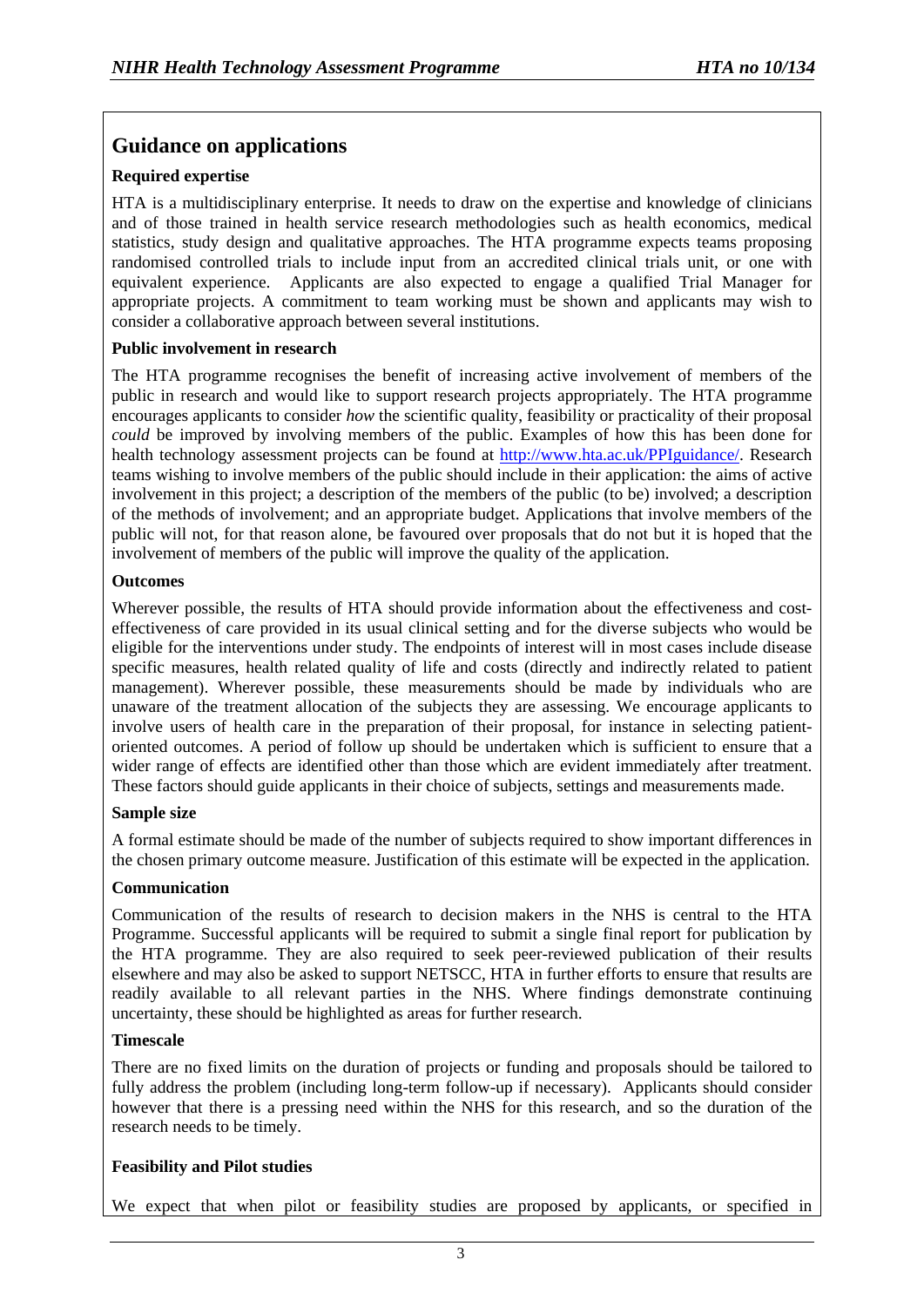## **Guidance on applications**

## **Required expertise**

HTA is a multidisciplinary enterprise. It needs to draw on the expertise and knowledge of clinicians and of those trained in health service research methodologies such as health economics, medical statistics, study design and qualitative approaches. The HTA programme expects teams proposing randomised controlled trials to include input from an accredited clinical trials unit, or one with equivalent experience. Applicants are also expected to engage a qualified Trial Manager for appropriate projects. A commitment to team working must be shown and applicants may wish to consider a collaborative approach between several institutions.

### **Public involvement in research**

The HTA programme recognises the benefit of increasing active involvement of members of the public in research and would like to support research projects appropriately. The HTA programme encourages applicants to consider *how* the scientific quality, feasibility or practicality of their proposal *could* be improved by involving members of the public. Examples of how this has been done for health technology assessment projects can be found at [http://www.hta.ac.uk/PPIguidance/.](http://www.hta.ac.uk/PPIguidance/) Research teams wishing to involve members of the public should include in their application: the aims of active involvement in this project; a description of the members of the public (to be) involved; a description of the methods of involvement; and an appropriate budget. Applications that involve members of the public will not, for that reason alone, be favoured over proposals that do not but it is hoped that the involvement of members of the public will improve the quality of the application.

### **Outcomes**

Wherever possible, the results of HTA should provide information about the effectiveness and costeffectiveness of care provided in its usual clinical setting and for the diverse subjects who would be eligible for the interventions under study. The endpoints of interest will in most cases include disease specific measures, health related quality of life and costs (directly and indirectly related to patient management). Wherever possible, these measurements should be made by individuals who are unaware of the treatment allocation of the subjects they are assessing. We encourage applicants to involve users of health care in the preparation of their proposal, for instance in selecting patientoriented outcomes. A period of follow up should be undertaken which is sufficient to ensure that a wider range of effects are identified other than those which are evident immediately after treatment. These factors should guide applicants in their choice of subjects, settings and measurements made.

### **Sample size**

A formal estimate should be made of the number of subjects required to show important differences in the chosen primary outcome measure. Justification of this estimate will be expected in the application.

### **Communication**

Communication of the results of research to decision makers in the NHS is central to the HTA Programme. Successful applicants will be required to submit a single final report for publication by the HTA programme. They are also required to seek peer-reviewed publication of their results elsewhere and may also be asked to support NETSCC, HTA in further efforts to ensure that results are readily available to all relevant parties in the NHS. Where findings demonstrate continuing uncertainty, these should be highlighted as areas for further research.

### **Timescale**

There are no fixed limits on the duration of projects or funding and proposals should be tailored to fully address the problem (including long-term follow-up if necessary). Applicants should consider however that there is a pressing need within the NHS for this research, and so the duration of the research needs to be timely.

## **Feasibility and Pilot studies**

We expect that when pilot or feasibility studies are proposed by applicants, or specified in